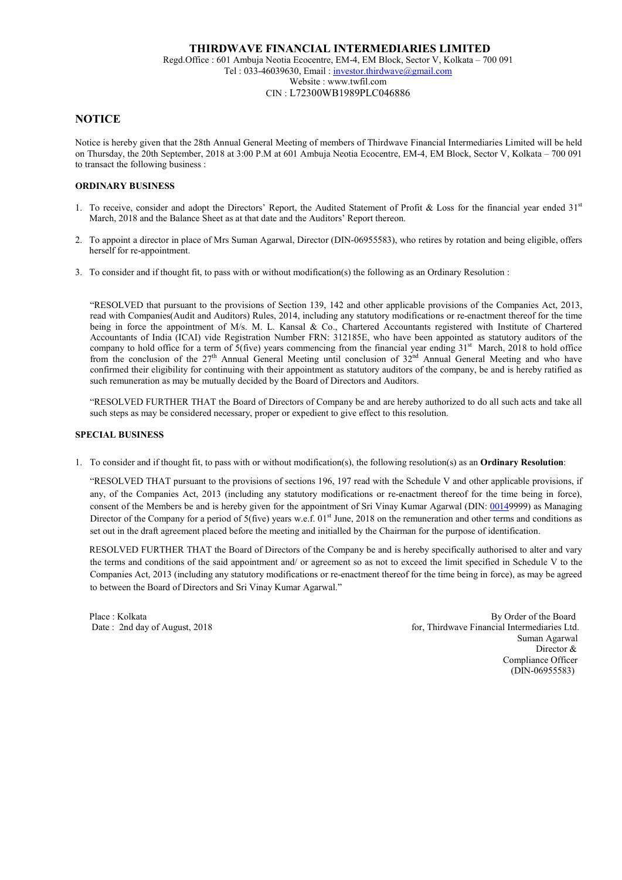# **NOTICE**

Notice is hereby given that the 28th Annual General Meeting of members of Thirdwave Financial Intermediaries Limited will be held on Thursday, the 20th September, 2018 at 3:00 P.M at 601 Ambuja Neotia Ecocentre, EM-4, EM Block, Sector V, Kolkata – 700 091 to transact the following business :

### ORDINARY BUSINESS

- 1. To receive, consider and adopt the Directors' Report, the Audited Statement of Profit & Loss for the financial year ended  $31<sup>st</sup>$ March, 2018 and the Balance Sheet as at that date and the Auditors' Report thereon.
- 2. To appoint a director in place of Mrs Suman Agarwal, Director (DIN-06955583), who retires by rotation and being eligible, offers herself for re-appointment.
- 3. To consider and if thought fit, to pass with or without modification(s) the following as an Ordinary Resolution :

"RESOLVED that pursuant to the provisions of Section 139, 142 and other applicable provisions of the Companies Act, 2013, read with Companies(Audit and Auditors) Rules, 2014, including any statutory modifications or re-enactment thereof for the time being in force the appointment of M/s. M. L. Kansal & Co., Chartered Accountants registered with Institute of Chartered Accountants of India (ICAI) vide Registration Number FRN: 312185E, who have been appointed as statutory auditors of the company to hold office for a term of  $5$ (five) years commencing from the financial year ending  $31<sup>st</sup>$  March, 2018 to hold office from the conclusion of the 27<sup>th</sup> Annual General Meeting until conclusion of 32<sup>nd</sup> Annual General Meeting and who have confirmed their eligibility for continuing with their appointment as statutory auditors of the company, be and is hereby ratified as such remuneration as may be mutually decided by the Board of Directors and Auditors.

"RESOLVED FURTHER THAT the Board of Directors of Company be and are hereby authorized to do all such acts and take all such steps as may be considered necessary, proper or expedient to give effect to this resolution.

#### SPECIAL BUSINESS

1. To consider and if thought fit, to pass with or without modification(s), the following resolution(s) as an Ordinary Resolution:

"RESOLVED THAT pursuant to the provisions of sections 196, 197 read with the Schedule V and other applicable provisions, if any, of the Companies Act, 2013 (including any statutory modifications or re-enactment thereof for the time being in force), consent of the Members be and is hereby given for the appointment of Sri Vinay Kumar Agarwal (DIN: 00149999) as Managing Director of the Company for a period of  $5$ (five) years w.e.f. 01st June, 2018 on the remuneration and other terms and conditions as set out in the draft agreement placed before the meeting and initialled by the Chairman for the purpose of identification.

RESOLVED FURTHER THAT the Board of Directors of the Company be and is hereby specifically authorised to alter and vary the terms and conditions of the said appointment and/ or agreement so as not to exceed the limit specified in Schedule V to the Companies Act, 2013 (including any statutory modifications or re-enactment thereof for the time being in force), as may be agreed to between the Board of Directors and Sri Vinay Kumar Agarwal."

Place : Kolkata By Order of the Board Date : 2nd day of August, 2018 **Formulate** 1 and 2018 **for August** 5 and 2018 **for Thirdwave Financial Intermediaries Ltd.**  Suman Agarwal Director & Compliance Officer (DIN-06955583)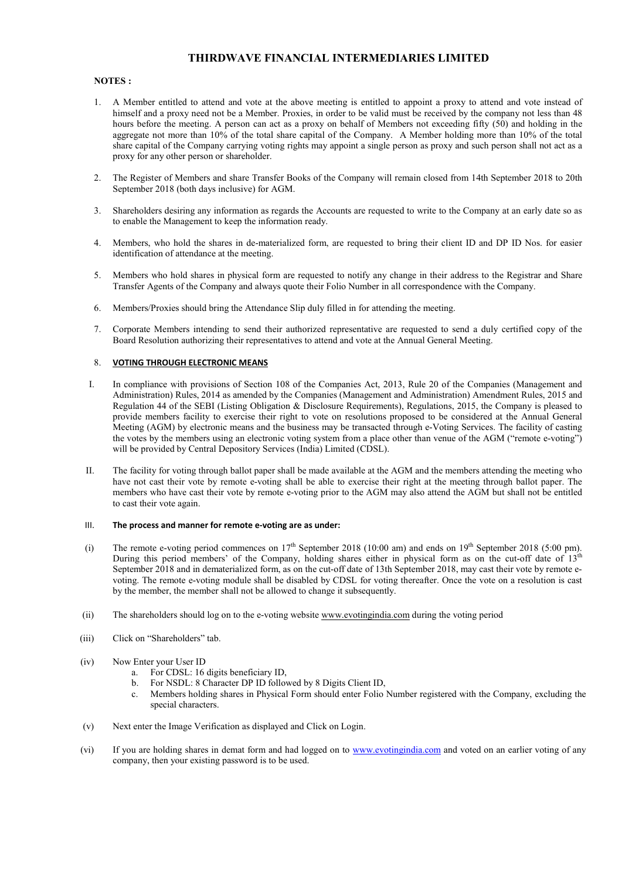#### NOTES :

- 1. A Member entitled to attend and vote at the above meeting is entitled to appoint a proxy to attend and vote instead of himself and a proxy need not be a Member. Proxies, in order to be valid must be received by the company not less than 48 hours before the meeting. A person can act as a proxy on behalf of Members not exceeding fifty (50) and holding in the aggregate not more than 10% of the total share capital of the Company. A Member holding more than 10% of the total share capital of the Company carrying voting rights may appoint a single person as proxy and such person shall not act as a proxy for any other person or shareholder.
- 2. The Register of Members and share Transfer Books of the Company will remain closed from 14th September 2018 to 20th September 2018 (both days inclusive) for AGM.
- 3. Shareholders desiring any information as regards the Accounts are requested to write to the Company at an early date so as to enable the Management to keep the information ready.
- 4. Members, who hold the shares in de-materialized form, are requested to bring their client ID and DP ID Nos. for easier identification of attendance at the meeting.
- 5. Members who hold shares in physical form are requested to notify any change in their address to the Registrar and Share Transfer Agents of the Company and always quote their Folio Number in all correspondence with the Company.
- 6. Members/Proxies should bring the Attendance Slip duly filled in for attending the meeting.
- 7. Corporate Members intending to send their authorized representative are requested to send a duly certified copy of the Board Resolution authorizing their representatives to attend and vote at the Annual General Meeting.

#### 8. VOTING THROUGH ELECTRONIC MEANS

- I. In compliance with provisions of Section 108 of the Companies Act, 2013, Rule 20 of the Companies (Management and Administration) Rules, 2014 as amended by the Companies (Management and Administration) Amendment Rules, 2015 and Regulation 44 of the SEBI (Listing Obligation & Disclosure Requirements), Regulations, 2015, the Company is pleased to provide members facility to exercise their right to vote on resolutions proposed to be considered at the Annual General Meeting (AGM) by electronic means and the business may be transacted through e-Voting Services. The facility of casting the votes by the members using an electronic voting system from a place other than venue of the AGM ("remote e-voting") will be provided by Central Depository Services (India) Limited (CDSL).
- II. The facility for voting through ballot paper shall be made available at the AGM and the members attending the meeting who have not cast their vote by remote e-voting shall be able to exercise their right at the meeting through ballot paper. The members who have cast their vote by remote e-voting prior to the AGM may also attend the AGM but shall not be entitled to cast their vote again.

#### III. The process and manner for remote e-voting are as under:

- (i) The remote e-voting period commences on  $17<sup>th</sup>$  September 2018 (10:00 am) and ends on  $19<sup>th</sup>$  September 2018 (5:00 pm). During this period members' of the Company, holding shares either in physical form as on the cut-off date of  $13<sup>th</sup>$ September 2018 and in dematerialized form, as on the cut-off date of 13th September 2018, may cast their vote by remote evoting. The remote e-voting module shall be disabled by CDSL for voting thereafter. Once the vote on a resolution is cast by the member, the member shall not be allowed to change it subsequently.
- (ii) The shareholders should log on to the e-voting website www.evotingindia.com during the voting period
- (iii) Click on "Shareholders" tab.
- (iv) Now Enter your User ID
	- a. For CDSL: 16 digits beneficiary ID,
	- b. For NSDL: 8 Character DP ID followed by 8 Digits Client ID,
	- c. Members holding shares in Physical Form should enter Folio Number registered with the Company, excluding the special characters.
- (v) Next enter the Image Verification as displayed and Click on Login.
- (vi) If you are holding shares in demat form and had logged on to www.evotingindia.com and voted on an earlier voting of any company, then your existing password is to be used.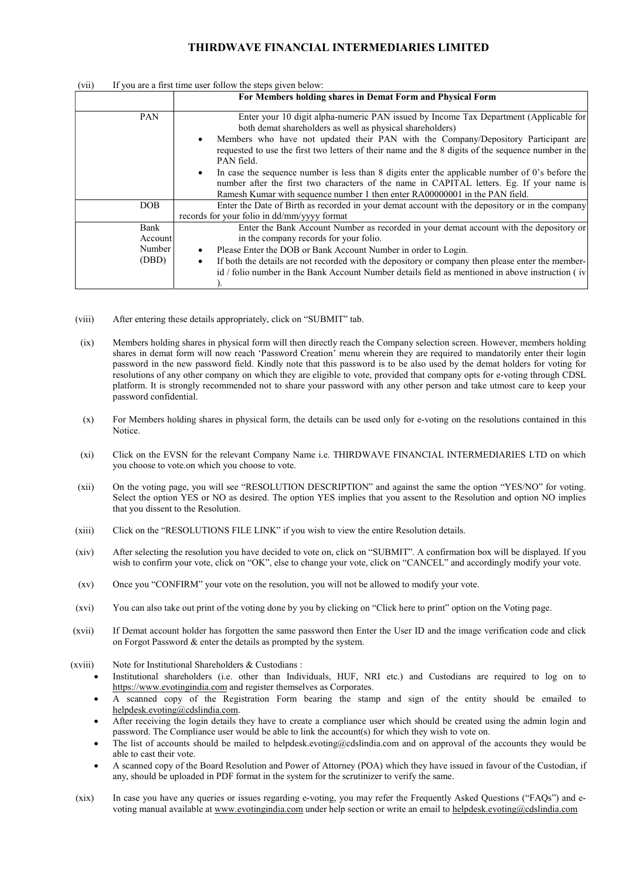| (VII)<br>If you are a first three user follow the steps given below. |                                                                                                                                                                                                                                                                                                                                                                                                                                                                                                                                                                                                                                                   |  |  |  |
|----------------------------------------------------------------------|---------------------------------------------------------------------------------------------------------------------------------------------------------------------------------------------------------------------------------------------------------------------------------------------------------------------------------------------------------------------------------------------------------------------------------------------------------------------------------------------------------------------------------------------------------------------------------------------------------------------------------------------------|--|--|--|
|                                                                      | For Members holding shares in Demat Form and Physical Form                                                                                                                                                                                                                                                                                                                                                                                                                                                                                                                                                                                        |  |  |  |
| PAN                                                                  | Enter your 10 digit alpha-numeric PAN issued by Income Tax Department (Applicable for<br>both demat shareholders as well as physical shareholders)<br>Members who have not updated their PAN with the Company/Depository Participant are<br>requested to use the first two letters of their name and the 8 digits of the sequence number in the<br>PAN field.<br>In case the sequence number is less than 8 digits enter the applicable number of 0's before the<br>٠<br>number after the first two characters of the name in CAPITAL letters. Eg. If your name is<br>Ramesh Kumar with sequence number 1 then enter RA00000001 in the PAN field. |  |  |  |
| DOB                                                                  | Enter the Date of Birth as recorded in your demat account with the depository or in the company<br>records for your folio in dd/mm/yyyy format                                                                                                                                                                                                                                                                                                                                                                                                                                                                                                    |  |  |  |
| Bank<br>Account<br>Number<br>(DBD)                                   | Enter the Bank Account Number as recorded in your demat account with the depository or<br>in the company records for your folio.<br>Please Enter the DOB or Bank Account Number in order to Login.<br>٠<br>If both the details are not recorded with the depository or company then please enter the member-<br>٠<br>id / folio number in the Bank Account Number details field as mentioned in above instruction (iv                                                                                                                                                                                                                             |  |  |  |

(vii) If you are a first time user follow the steps given below:

- (viii) After entering these details appropriately, click on "SUBMIT" tab.
- (ix) Members holding shares in physical form will then directly reach the Company selection screen. However, members holding shares in demat form will now reach 'Password Creation' menu wherein they are required to mandatorily enter their login password in the new password field. Kindly note that this password is to be also used by the demat holders for voting for resolutions of any other company on which they are eligible to vote, provided that company opts for e-voting through CDSL platform. It is strongly recommended not to share your password with any other person and take utmost care to keep your password confidential.
- (x) For Members holding shares in physical form, the details can be used only for e-voting on the resolutions contained in this Notice.
- (xi) Click on the EVSN for the relevant Company Name i.e. THIRDWAVE FINANCIAL INTERMEDIARIES LTD on which you choose to vote.on which you choose to vote.
- (xii) On the voting page, you will see "RESOLUTION DESCRIPTION" and against the same the option "YES/NO" for voting. Select the option YES or NO as desired. The option YES implies that you assent to the Resolution and option NO implies that you dissent to the Resolution.
- (xiii) Click on the "RESOLUTIONS FILE LINK" if you wish to view the entire Resolution details.
- (xiv) After selecting the resolution you have decided to vote on, click on "SUBMIT". A confirmation box will be displayed. If you wish to confirm your vote, click on "OK", else to change your vote, click on "CANCEL" and accordingly modify your vote.
- (xv) Once you "CONFIRM" your vote on the resolution, you will not be allowed to modify your vote.
- (xvi) You can also take out print of the voting done by you by clicking on "Click here to print" option on the Voting page.
- (xvii) If Demat account holder has forgotten the same password then Enter the User ID and the image verification code and click on Forgot Password & enter the details as prompted by the system.
- (xviii) Note for Institutional Shareholders & Custodians :
	- Institutional shareholders (i.e. other than Individuals, HUF, NRI etc.) and Custodians are required to log on to https://www.evotingindia.com and register themselves as Corporates.
	- A scanned copy of the Registration Form bearing the stamp and sign of the entity should be emailed to helpdesk.evoting@cdslindia.com.
	- After receiving the login details they have to create a compliance user which should be created using the admin login and password. The Compliance user would be able to link the account(s) for which they wish to vote on.
	- The list of accounts should be mailed to helpdesk.evoting@cdslindia.com and on approval of the accounts they would be able to cast their vote.
	- A scanned copy of the Board Resolution and Power of Attorney (POA) which they have issued in favour of the Custodian, if any, should be uploaded in PDF format in the system for the scrutinizer to verify the same.
- (xix) In case you have any queries or issues regarding e-voting, you may refer the Frequently Asked Questions ("FAQs") and evoting manual available at www.evotingindia.com under help section or write an email to helpdesk.evoting@cdslindia.com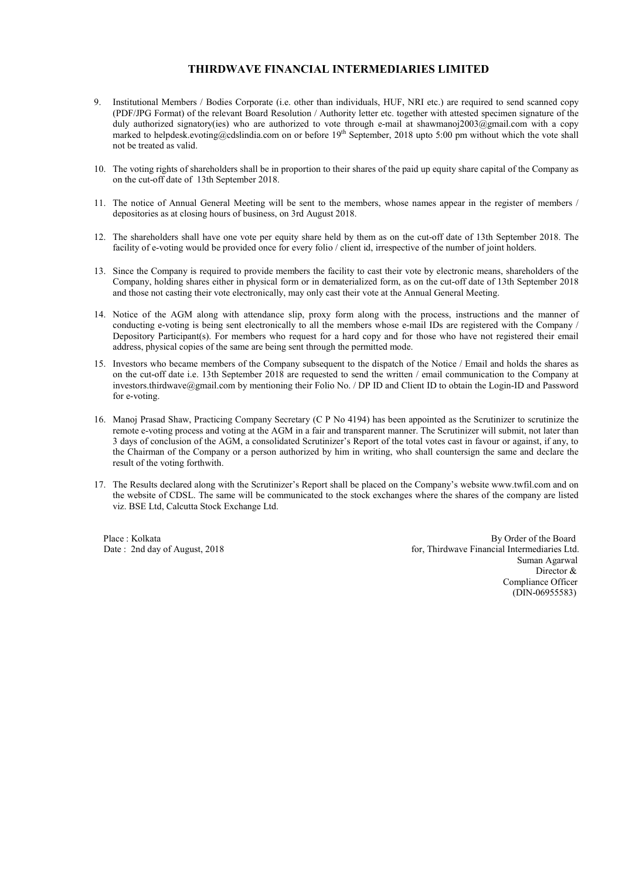- 9. Institutional Members / Bodies Corporate (i.e. other than individuals, HUF, NRI etc.) are required to send scanned copy (PDF/JPG Format) of the relevant Board Resolution / Authority letter etc. together with attested specimen signature of the duly authorized signatory(ies) who are authorized to vote through e-mail at shawmanoj2003@gmail.com with a copy marked to helpdesk.evoting@cdslindia.com on or before 19<sup>th</sup> September, 2018 upto 5:00 pm without which the vote shall not be treated as valid.
- 10. The voting rights of shareholders shall be in proportion to their shares of the paid up equity share capital of the Company as on the cut-off date of 13th September 2018.
- 11. The notice of Annual General Meeting will be sent to the members, whose names appear in the register of members / depositories as at closing hours of business, on 3rd August 2018.
- 12. The shareholders shall have one vote per equity share held by them as on the cut-off date of 13th September 2018. The facility of e-voting would be provided once for every folio / client id, irrespective of the number of joint holders.
- 13. Since the Company is required to provide members the facility to cast their vote by electronic means, shareholders of the Company, holding shares either in physical form or in dematerialized form, as on the cut-off date of 13th September 2018 and those not casting their vote electronically, may only cast their vote at the Annual General Meeting.
- 14. Notice of the AGM along with attendance slip, proxy form along with the process, instructions and the manner of conducting e-voting is being sent electronically to all the members whose e-mail IDs are registered with the Company / Depository Participant(s). For members who request for a hard copy and for those who have not registered their email address, physical copies of the same are being sent through the permitted mode.
- 15. Investors who became members of the Company subsequent to the dispatch of the Notice / Email and holds the shares as on the cut-off date i.e. 13th September 2018 are requested to send the written / email communication to the Company at investors.thirdwave@gmail.com by mentioning their Folio No. / DP ID and Client ID to obtain the Login-ID and Password for e-voting.
- 16. Manoj Prasad Shaw, Practicing Company Secretary (C P No 4194) has been appointed as the Scrutinizer to scrutinize the remote e-voting process and voting at the AGM in a fair and transparent manner. The Scrutinizer will submit, not later than 3 days of conclusion of the AGM, a consolidated Scrutinizer's Report of the total votes cast in favour or against, if any, to the Chairman of the Company or a person authorized by him in writing, who shall countersign the same and declare the result of the voting forthwith.
- 17. The Results declared along with the Scrutinizer's Report shall be placed on the Company's website www.twfil.com and on the website of CDSL. The same will be communicated to the stock exchanges where the shares of the company are listed viz. BSE Ltd, Calcutta Stock Exchange Ltd.

Place : Kolkata By Order of the Board By Order of the Board Date : 2nd day of August, 2018 **Formulate** for, Thirdwave Financial Intermediaries Ltd. Suman Agarwal Director & Compliance Officer (DIN-06955583)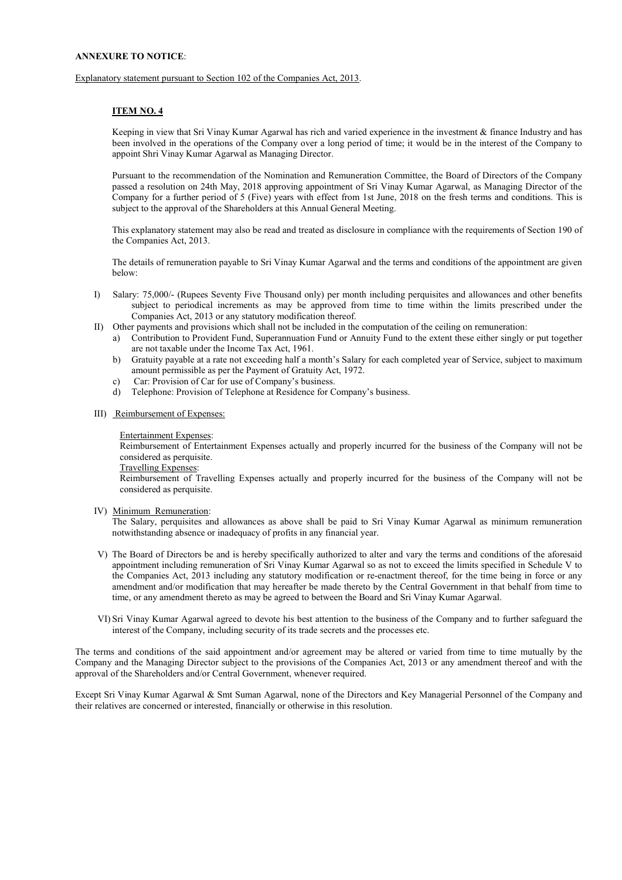#### ANNEXURE TO NOTICE:

Explanatory statement pursuant to Section 102 of the Companies Act, 2013.

#### ITEM NO. 4

Keeping in view that Sri Vinay Kumar Agarwal has rich and varied experience in the investment & finance Industry and has been involved in the operations of the Company over a long period of time; it would be in the interest of the Company to appoint Shri Vinay Kumar Agarwal as Managing Director.

Pursuant to the recommendation of the Nomination and Remuneration Committee, the Board of Directors of the Company passed a resolution on 24th May, 2018 approving appointment of Sri Vinay Kumar Agarwal, as Managing Director of the Company for a further period of 5 (Five) years with effect from 1st June, 2018 on the fresh terms and conditions. This is subject to the approval of the Shareholders at this Annual General Meeting.

This explanatory statement may also be read and treated as disclosure in compliance with the requirements of Section 190 of the Companies Act, 2013.

The details of remuneration payable to Sri Vinay Kumar Agarwal and the terms and conditions of the appointment are given below:

- I) Salary: 75,000/- (Rupees Seventy Five Thousand only) per month including perquisites and allowances and other benefits subject to periodical increments as may be approved from time to time within the limits prescribed under the Companies Act, 2013 or any statutory modification thereof.
- II) Other payments and provisions which shall not be included in the computation of the ceiling on remuneration:
	- a) Contribution to Provident Fund, Superannuation Fund or Annuity Fund to the extent these either singly or put together are not taxable under the Income Tax Act, 1961.
	- b) Gratuity payable at a rate not exceeding half a month's Salary for each completed year of Service, subject to maximum amount permissible as per the Payment of Gratuity Act, 1972.
	- c) Car: Provision of Car for use of Company's business.
	- d) Telephone: Provision of Telephone at Residence for Company's business.
- III) Reimbursement of Expenses:

Entertainment Expenses:

Reimbursement of Entertainment Expenses actually and properly incurred for the business of the Company will not be considered as perquisite.

Travelling Expenses:

Reimbursement of Travelling Expenses actually and properly incurred for the business of the Company will not be considered as perquisite.

IV) Minimum Remuneration:

The Salary, perquisites and allowances as above shall be paid to Sri Vinay Kumar Agarwal as minimum remuneration notwithstanding absence or inadequacy of profits in any financial year.

- V) The Board of Directors be and is hereby specifically authorized to alter and vary the terms and conditions of the aforesaid appointment including remuneration of Sri Vinay Kumar Agarwal so as not to exceed the limits specified in Schedule V to the Companies Act, 2013 including any statutory modification or re-enactment thereof, for the time being in force or any amendment and/or modification that may hereafter be made thereto by the Central Government in that behalf from time to time, or any amendment thereto as may be agreed to between the Board and Sri Vinay Kumar Agarwal.
- VI) Sri Vinay Kumar Agarwal agreed to devote his best attention to the business of the Company and to further safeguard the interest of the Company, including security of its trade secrets and the processes etc.

The terms and conditions of the said appointment and/or agreement may be altered or varied from time to time mutually by the Company and the Managing Director subject to the provisions of the Companies Act, 2013 or any amendment thereof and with the approval of the Shareholders and/or Central Government, whenever required.

Except Sri Vinay Kumar Agarwal & Smt Suman Agarwal, none of the Directors and Key Managerial Personnel of the Company and their relatives are concerned or interested, financially or otherwise in this resolution.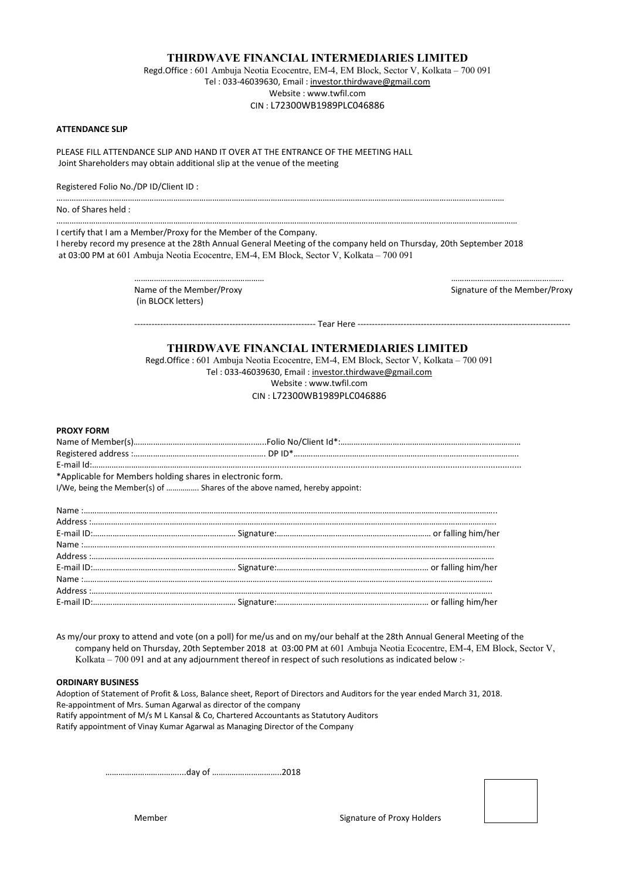Regd.Office : 601 Ambuja Neotia Ecocentre, EM-4, EM Block, Sector V, Kolkata – 700 091 Tel : 033-46039630, Email : investor.thirdwave@gmail.com Website : www.twfil.com CIN : L72300WB1989PLC046886

#### ATTENDANCE SLIP

PLEASE FILL ATTENDANCE SLIP AND HAND IT OVER AT THE ENTRANCE OF THE MEETING HALL Joint Shareholders may obtain additional slip at the venue of the meeting

Registered Folio No./DP ID/Client ID :

No. of Shares held :

I certify that I am a Member/Proxy for the Member of the Company.

I hereby record my presence at the 28th Annual General Meeting of the company held on Thursday, 20th September 2018 at 03:00 PM at 601 Ambuja Neotia Ecocentre, EM-4, EM Block, Sector V, Kolkata – 700 091

………………………………………………………………………………………………………………………………………………………………………………………

……………………………………………………………………………………………………………………………………………………………………………………………

…………………………………………………… ……………………………………………. Name of the Member/Proxy and the Member/Proxy Signature of the Member/Proxy (in BLOCK letters)

--------------------------------------------------------------- Tear Here --------------------------------------------------------------------------

### THIRDWAVE FINANCIAL INTERMEDIARIES LIMITED

Regd.Office : 601 Ambuja Neotia Ecocentre, EM-4, EM Block, Sector V, Kolkata – 700 091 Tel : 033-46039630, Email : investor.thirdwave@gmail.com Website : www.twfil.com CIN : L72300WB1989PLC046886

#### PROXY FORM

| *Applicable for Members holding shares in electronic form. |  |
|------------------------------------------------------------|--|

I/We, being the Member(s) of ……………. Shares of the above named, hereby appoint:

As my/our proxy to attend and vote (on a poll) for me/us and on my/our behalf at the 28th Annual General Meeting of the company held on Thursday, 20th September 2018 at 03:00 PM at 601 Ambuja Neotia Ecocentre, EM-4, EM Block, Sector V, Kolkata – 700 091 and at any adjournment thereof in respect of such resolutions as indicated below :-

#### ORDINARY BUSINESS

Adoption of Statement of Profit & Loss, Balance sheet, Report of Directors and Auditors for the year ended March 31, 2018. Re-appointment of Mrs. Suman Agarwal as director of the company Ratify appointment of M/s M L Kansal & Co, Chartered Accountants as Statutory Auditors Ratify appointment of Vinay Kumar Agarwal as Managing Director of the Company

……………………………....day of …………………………..2018